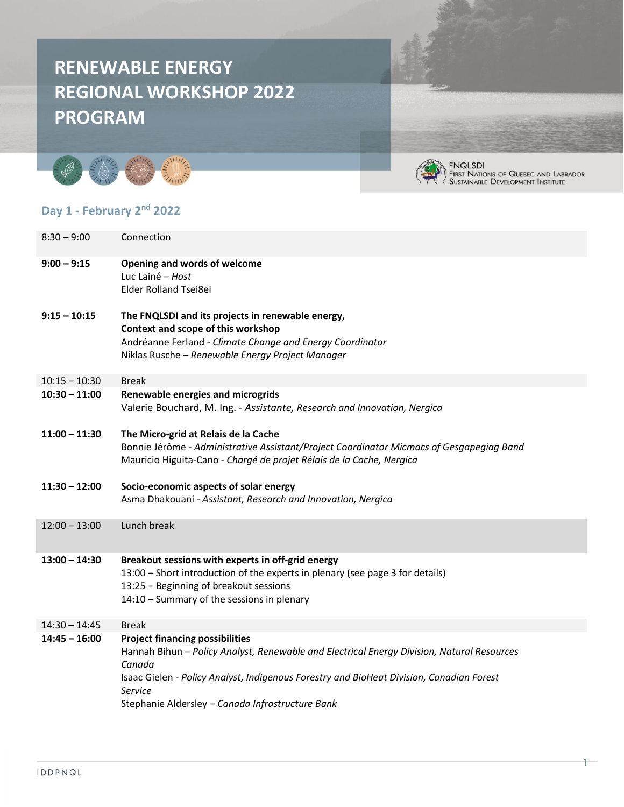# **RENEWABLE ENERGY REGIONAL WORKSHOP 2022 PROGRAM**





1

#### **Day 1 - February 2nd 2022**

| Connection                                                                                                                                                                                                                                                                                                |
|-----------------------------------------------------------------------------------------------------------------------------------------------------------------------------------------------------------------------------------------------------------------------------------------------------------|
| Opening and words of welcome<br>Luc Lainé - Host<br><b>Elder Rolland Tsei8ei</b>                                                                                                                                                                                                                          |
| The FNQLSDI and its projects in renewable energy,<br>Context and scope of this workshop<br>Andréanne Ferland - Climate Change and Energy Coordinator<br>Niklas Rusche - Renewable Energy Project Manager                                                                                                  |
| <b>Break</b>                                                                                                                                                                                                                                                                                              |
| Renewable energies and microgrids<br>Valerie Bouchard, M. Ing. - Assistante, Research and Innovation, Nergica                                                                                                                                                                                             |
| The Micro-grid at Relais de la Cache<br>Bonnie Jérôme - Administrative Assistant/Project Coordinator Micmacs of Gesgapegiag Band<br>Mauricio Higuita-Cano - Chargé de projet Rélais de la Cache, Nergica                                                                                                  |
| Socio-economic aspects of solar energy<br>Asma Dhakouani - Assistant, Research and Innovation, Nergica                                                                                                                                                                                                    |
| Lunch break                                                                                                                                                                                                                                                                                               |
| Breakout sessions with experts in off-grid energy<br>13:00 - Short introduction of the experts in plenary (see page 3 for details)<br>13:25 - Beginning of breakout sessions<br>14:10 - Summary of the sessions in plenary                                                                                |
| <b>Break</b>                                                                                                                                                                                                                                                                                              |
| <b>Project financing possibilities</b><br>Hannah Bihun - Policy Analyst, Renewable and Electrical Energy Division, Natural Resources<br>Canada<br>Isaac Gielen - Policy Analyst, Indigenous Forestry and BioHeat Division, Canadian Forest<br>Service<br>Stephanie Aldersley - Canada Infrastructure Bank |
|                                                                                                                                                                                                                                                                                                           |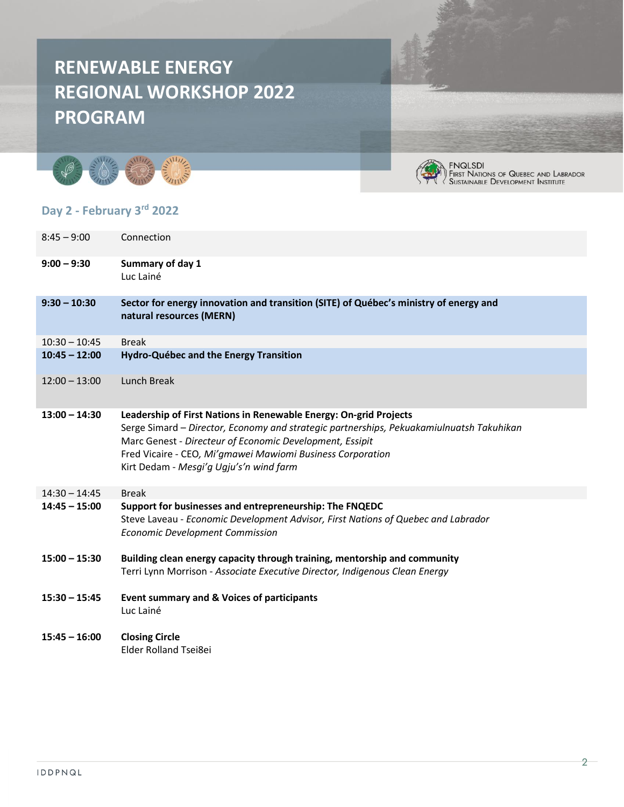# **RENEWABLE ENERGY REGIONAL WORKSHOP 2022 PROGRAM**







FNQLSDI<br>First Nations of Quebec and Labrador<br>Sustainable Development Institute

#### **Day 2 - February 3rd 2022**

| $8:45 - 9:00$   | Connection                                                                                                                                                                                                                                                                                                                         |
|-----------------|------------------------------------------------------------------------------------------------------------------------------------------------------------------------------------------------------------------------------------------------------------------------------------------------------------------------------------|
| $9:00 - 9:30$   | Summary of day 1<br>Luc Lainé                                                                                                                                                                                                                                                                                                      |
| $9:30 - 10:30$  | Sector for energy innovation and transition (SITE) of Québec's ministry of energy and<br>natural resources (MERN)                                                                                                                                                                                                                  |
| $10:30 - 10:45$ | <b>Break</b>                                                                                                                                                                                                                                                                                                                       |
| $10:45 - 12:00$ | <b>Hydro-Québec and the Energy Transition</b>                                                                                                                                                                                                                                                                                      |
| $12:00 - 13:00$ | Lunch Break                                                                                                                                                                                                                                                                                                                        |
| $13:00 - 14:30$ | Leadership of First Nations in Renewable Energy: On-grid Projects<br>Serge Simard - Director, Economy and strategic partnerships, Pekuakamiulnuatsh Takuhikan<br>Marc Genest - Directeur of Economic Development, Essipit<br>Fred Vicaire - CEO, Mi'gmawei Mawiomi Business Corporation<br>Kirt Dedam - Mesgi'g Ugju's'n wind farm |
| $14:30 - 14:45$ | <b>Break</b>                                                                                                                                                                                                                                                                                                                       |
| $14:45 - 15:00$ | Support for businesses and entrepreneurship: The FNQEDC<br>Steve Laveau - Economic Development Advisor, First Nations of Quebec and Labrador<br><b>Economic Development Commission</b>                                                                                                                                             |
| $15:00 - 15:30$ | Building clean energy capacity through training, mentorship and community<br>Terri Lynn Morrison - Associate Executive Director, Indigenous Clean Energy                                                                                                                                                                           |
| $15:30 - 15:45$ | Event summary and & Voices of participants<br>Luc Lainé                                                                                                                                                                                                                                                                            |
| $15:45 - 16:00$ | <b>Closing Circle</b><br><b>Elder Rolland Tsei8ei</b>                                                                                                                                                                                                                                                                              |